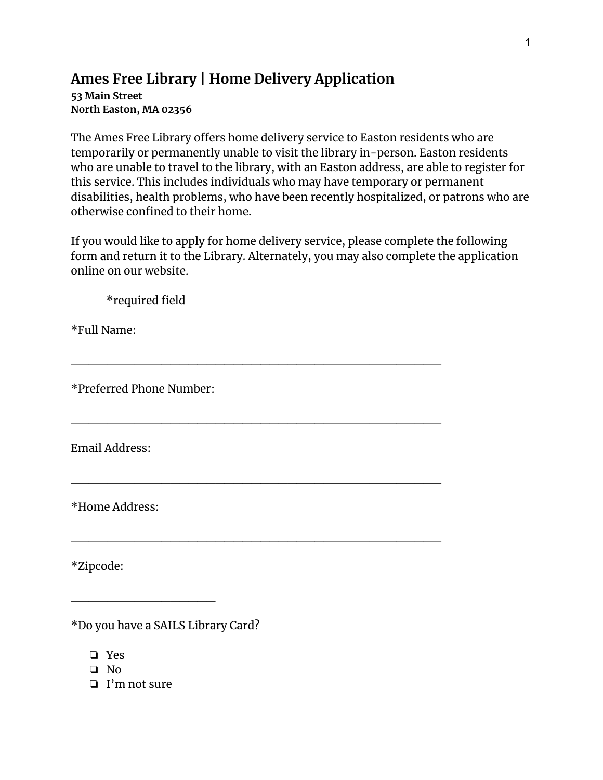## **Ames Free Library | Home Delivery Application**

**53 Main Street North Easton, MA 02356**

The Ames Free Library offers home delivery service to Easton residents who are temporarily or permanently unable to visit the library in-person. Easton residents who are unable to travel to the library, with an Easton address, are able to register for this service. This includes individuals who may have temporary or permanent disabilities, health problems, who have been recently hospitalized, or patrons who are otherwise confined to their home.

If you would like to apply for home delivery service, please complete the following form and return it to the Library. Alternately, you may also complete the application online on our website.

\_\_\_\_\_\_\_\_\_\_\_\_\_\_\_\_\_\_\_\_\_\_\_\_\_\_\_\_\_\_\_\_\_\_\_\_\_\_\_\_\_

\_\_\_\_\_\_\_\_\_\_\_\_\_\_\_\_\_\_\_\_\_\_\_\_\_\_\_\_\_\_\_\_\_\_\_\_\_\_\_\_\_

\_\_\_\_\_\_\_\_\_\_\_\_\_\_\_\_\_\_\_\_\_\_\_\_\_\_\_\_\_\_\_\_\_\_\_\_\_\_\_\_\_

\_\_\_\_\_\_\_\_\_\_\_\_\_\_\_\_\_\_\_\_\_\_\_\_\_\_\_\_\_\_\_\_\_\_\_\_\_\_\_\_\_

\*required field

\*Full Name:

\*Preferred Phone Number:

Email Address:

\*Home Address:

\*Zipcode:

\*Do you have a SAILS Library Card?

\_\_\_\_\_\_\_\_\_\_\_\_\_\_\_\_

❏ Yes

❏ No

❏ I'm not sure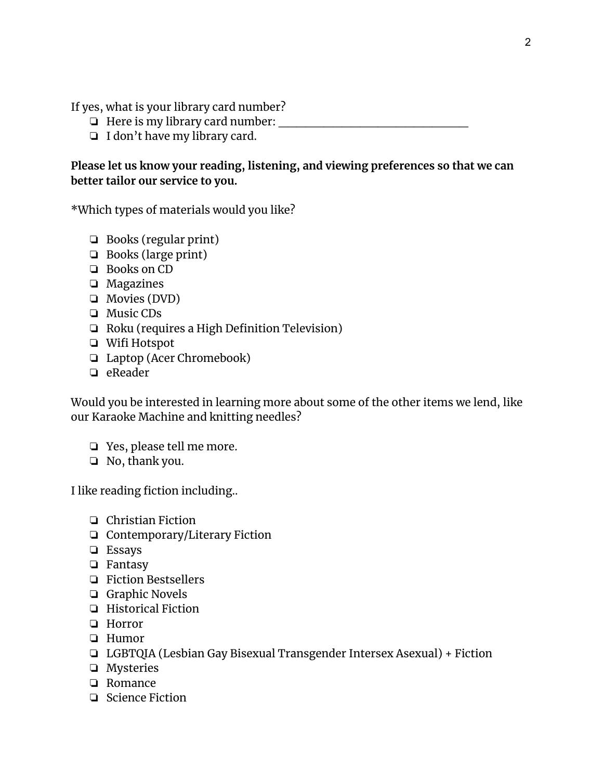If yes, what is your library card number?

- $\Box$  Here is my library card number:
- ❏ I don't have my library card.

## **Please let us know your reading, listening, and viewing preferences so that we can better tailor our service to you.**

\*Which types of materials would you like?

- ❏ Books (regular print)
- ❏ Books (large print)
- ❏ Books on CD
- ❏ Magazines
- ❏ Movies (DVD)
- ❏ Music CDs
- ❏ Roku (requires a High Definition Television)
- ❏ Wifi Hotspot
- ❏ Laptop (Acer Chromebook)
- ❏ eReader

Would you be interested in learning more about some of the other items we lend, like our Karaoke Machine and knitting needles?

- ❏ Yes, please tell me more.
- ❏ No, thank you.

I like reading fiction including..

- ❏ Christian Fiction
- ❏ Contemporary/Literary Fiction
- ❏ Essays
- ❏ Fantasy
- ❏ Fiction Bestsellers
- ❏ Graphic Novels
- ❏ Historical Fiction
- ❏ Horror
- ❏ Humor
- ❏ LGBTQIA (Lesbian Gay Bisexual Transgender Intersex Asexual) + Fiction
- ❏ Mysteries
- ❏ Romance
- ❏ Science Fiction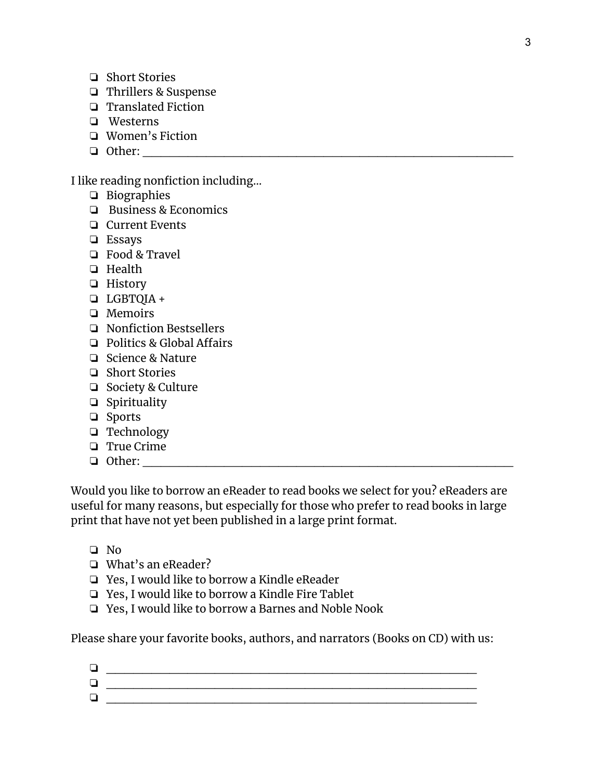- ❏ Short Stories
- ❏ Thrillers & Suspense
- ❏ Translated Fiction
- ❏ Westerns
- ❏ Women's Fiction
- ❏ Other: \_\_\_\_\_\_\_\_\_\_\_\_\_\_\_\_\_\_\_\_\_\_\_\_\_\_\_\_\_\_\_\_\_\_\_\_\_\_\_\_\_

I like reading nonfiction including…

- ❏ Biographies
- ❏ Business & Economics
- ❏ Current Events
- ❏ Essays
- ❏ Food & Travel
- ❏ Health
- ❏ History
- ❏ LGBTQIA +
- ❏ Memoirs
- ❏ Nonfiction Bestsellers
- ❏ Politics & Global Affairs
- ❏ Science & Nature
- ❏ Short Stories
- ❏ Society & Culture
- ❏ Spirituality
- ❏ Sports
- ❏ Technology
- ❏ True Crime
- $\Box$  Other:

Would you like to borrow an eReader to read books we select for you? eReaders are useful for many reasons, but especially for those who prefer to read books in large print that have not yet been published in a large print format.

- ❏ No
- ❏ What's an eReader?
- ❏ Yes, I would like to borrow a Kindle eReader
- ❏ Yes, I would like to borrow a Kindle Fire Tablet
- ❏ Yes, I would like to borrow a Barnes and Noble Nook

Please share your favorite books, authors, and narrators (Books on CD) with us:

| ∽ |  |
|---|--|
|   |  |
|   |  |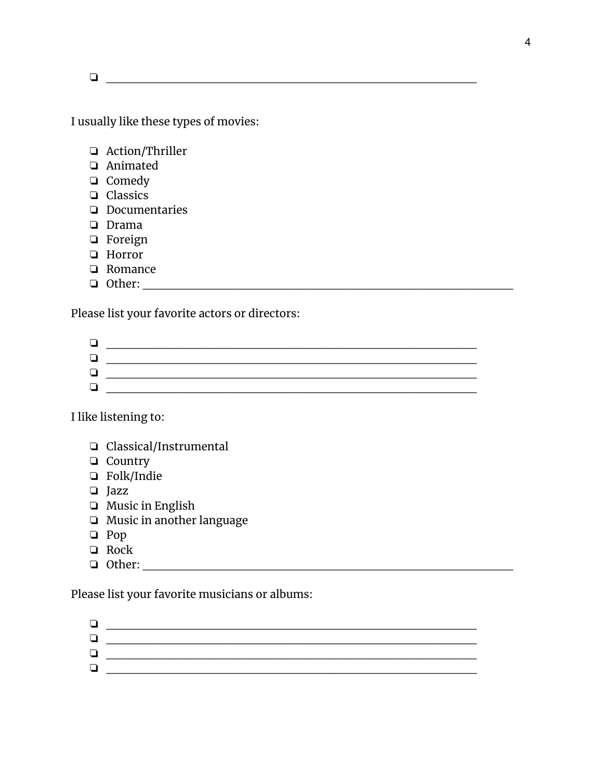$\Box$ 

I usually like these types of movies:

- ❏ Action/Thriller
- ❏ Animated
- ❏ Comedy
- ❏ Classics
- ❏ Documentaries
- ❏ Drama
- ❏ Foreign
- ❏ Horror
- ❏ Romance
- ❏ Other: \_\_\_\_\_\_\_\_\_\_\_\_\_\_\_\_\_\_\_\_\_\_\_\_\_\_\_\_\_\_\_\_\_\_\_\_\_\_\_\_\_

Please list your favorite actors or directors:

I like listening to:

- ❏ Classical/Instrumental
- ❏ Country
- ❏ Folk/Indie
- ❏ Jazz
- ❏ Music in English
- ❏ Music in another language
- ❏ Pop
- ❏ Rock
- $\Box$  Other:  $\Box$

Please list your favorite musicians or albums:

| $\overline{\phantom{0}}$ |  |
|--------------------------|--|
|                          |  |
|                          |  |
|                          |  |